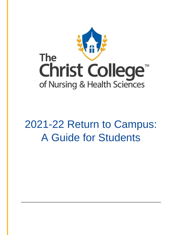

# 2021-22 Return to Campus: A Guide for Students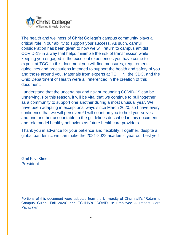

The health and wellness of Christ College's campus community plays a critical role in our ability to support your success. As such, careful consideration has been given to how we will return to campus amidst COVID-19 in a way that helps minimize the risk of transmission while keeping you engaged in the excellent experiences you have come to expect at TCC. In this document you will find measures, requirements, guidelines and precautions intended to support the health and safety of you and those around you. Materials from experts at TCHHN, the CDC, and the Ohio Department of Health were all referenced in the creation of this document.

I understand that the uncertainty and risk surrounding COVID-19 can be unnerving. For this reason, it will be vital that we continue to pull together as a community to support one another during a most unusual year. We have been adapting in exceptional ways since March 2020, so I have every confidence that we will persevere! I will count on you to hold yourselves and one another accountable to the guidelines described in this document and role model healthy behaviors as future healthcare providers.

Thank you in advance for your patience and flexibility. Together, despite a global pandemic, we can make the 2021-2022 academic year our best yet!

Gail Kist-Kline President

Portions of this document were adapted from the University of Cincinnati's "Return to Campus Guide: Fall 2020" and TCHHN's "COVID-19: Employee & Patient Care Pathways"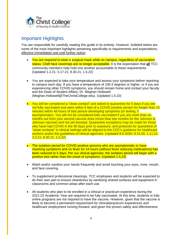

## Important Highlights

You are responsible for carefully reading this guide in its entirety. However, bulleted below are some of the most important highlights pertaining specifically to requirements and expectations, effective immediately and until further notice:

- You are required to wear a surgical mask while on campus, regardless of vaccination status. Cloth face coverings are no longer acceptable. It is the expectation that **all** TCC community members help hold one another accountable to these requirements. (Updated 1.2.21; 3.17.21; 8.30.21; 1.5.22)
- You are expected to take your temperature and assess your symptoms before reporting to campus each day. If you have a temperature of 100.4 degrees or higher, or if you are experiencing other COVID symptoms, you should remain home and contact your faculty and the Dean of Student Affairs, Dr. Meghan Hollowell (Meghan.Hollowell@TheChristCollege.edu). (Updated 1.5.22)
- You will be considered a "close contact" and asked to quarantine for 5 days if you are not fully vaccinated and were within 6 feet of a COVID positive person for longer than 15 minutes within 48 hours of that person developing symptoms (or testing, if asymptomatic). You will not be considered fully vaccinated if you are more than six months out from your second vaccine dose (more than two months for the Johnson & Johnson vaccine) and not yet boosted. Quarantine exceptions may be made for those who have had COVID in the 90 days prior to exposure, and protocols for quarantine of "close contacts" in clinical settings will be aligned to the CDC's guidance for healthcare workers and/or the guidelines of clinical agencies. (Updated 8.6.2020; 9.14.20; 1.11.21; 3.3.21; 8.30.21; 1.5.22)
- The isolation period for COVID positive persons who are asymptomatic or have resolving symptoms and no fever for 24 hours (without fever reducing medications) has been reduced to 5 days. Per our clinical agencies, the isolation period will begin with a positive test rather than the onset of symptoms. (Updated 1.5.22)
- Wash and/or sanitize your hands frequently and avoid touching your eyes, nose, mouth, and face covering.
- To supplement professional cleanings, TCC employees and students will be expected to do their own part to ensure cleanliness by sanitizing shared surfaces and equipment in classrooms and common areas after each use.
- All students who plan to be enrolled in a clinical or practicum experience during the 2021-22 Academic Year are required to be fully vaccinated. At this time, students in fully online programs are not required to have the vaccine. However, given that the vaccine is likely to become a permanent requirement for clinical/practicum experiences *and* healthcare employment moving forward, and given the proven safety and effectiveness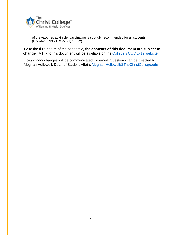

of the vaccines available, vaccinating is strongly recommended for all students. (Updated 8.30.21; 9.29.21; 1.5.22)

Due to the fluid nature of the pandemic, **the contents of this document are subject to change**. A link to this document will be available on the [College's COVID-19 website.](https://www.thechristcollege.edu/COVID19)

*Significant* changes will be communicated via email. Questions can be directed to Meghan Hollowell, Dean of Student Affairs [Meghan.Hollowell@TheChristCollege.edu](mailto:Meghan.Hollowell@TheChristCollege.edu)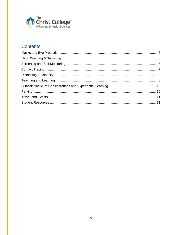

# **Contents**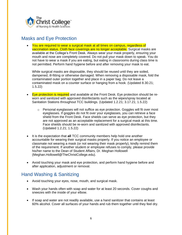

# <span id="page-5-0"></span>Masks and Eye Protection

• You are required to wear a surgical mask at all times on campus, regardless of vaccination status. Cloth face coverings are no longer acceptable. Surgical masks are available at the College's Front Desk. Always wear your mask properly, ensuring your mouth and nose are completely covered. Do not pull your mask down to speak. You do not have to wear a mask if you are eating, but eating in classrooms during class time is not permitted. Perform hand hygiene before and after removing your mask to eat.

While surgical masks are disposable, they should be reused until they are soiled, dampened, ill-fitting or otherwise damaged. When removing a disposable mask, fold the contaminated outer portion together and place in a paper bag. Do not leave a contaminated mask on a counter surface or hanging from a hook. (Updated 8.30.21; 1.5.22)

- Eye protection is required and available at the Front Desk. Eye protection should be reworn and sanitized with approved disinfectants such as the wipes/spray located at Sanitation Stations throughout TCC buildings. (Updated 1.2.21; 3.17.21; 1.5.22)
	- $\circ$  Personal eyeglasses will not suffice as eye protection. Goggles will fit over most eyeglasses. If goggles do not fit over your eyeglasses, you can retrieve a face shield from the Front Desk. Face shields can serve as eye protection, but they are not approved as an acceptable replacement for a surgical mask at this time. Face shields should be re-worn and sanitized with approved disinfectants. (Updated 1.2.21; 1.5.22)
- It is the expectation that **all** TCC community members help hold one another accountable for wearing their surgical masks properly. If you notice an employee or classmate not wearing a mask (or not wearing their mask properly), kindly remind them of the requirement. If another student or employee refuses to comply, please provide his/her name to the Dean of Student Affairs, Dr. Meghan Hollowell (Meghan.Hollowell@TheChristCollege.edu).
- Avoid touching your mask and eye protection, and perform hand hygiene before and after application, adjustment or removal.

## <span id="page-5-1"></span>Hand Washing & Sanitizing

- Avoid touching your eyes, nose, mouth, and surgical mask.
- Wash your hands often with soap and water for at least 20 seconds. Cover coughs and sneezes with the inside of your elbow.
- If soap and water are not readily available, use a hand sanitizer that contains at least 60% alcohol. Cover all surfaces of your hands and rub them together until they feel dry.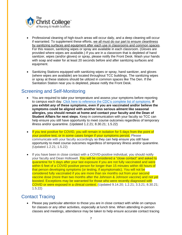

- Professional cleaning of high-touch areas will occur daily, and a deep cleaning will occur if warranted. To supplement these efforts, we all must do our part to ensure cleanliness by sanitizing surfaces and equipment after each use in classrooms and common spaces. For this reason, sanitizing wipes or spray are available in each classroom. (Gloves are provided where wipes are available.) If you are in a classroom that is depleted of hand sanitizer, wipes (and/or gloves) or spray, please notify the Front Desk. Wash your hands with soap and water for at least 20 seconds before and after sanitizing surfaces and equipment.
- Sanitizing Stations equipped with sanitizing wipes or spray, hand sanitizer, and gloves (where wipes are available) are located throughout TCC buildings. The sanitizing wipes or spray at these stations should be utilized in common spaces like The Den. If the Sanitation Station near you is depleted, please notify the Front Desk.

# <span id="page-6-0"></span>Screening and Self-Monitoring

- You are required to take your temperature and assess your symptoms before reporting to campus each day. Click here to reference the CDC's complete list of [symptoms.](https://www.cdc.gov/coronavirus/2019-ncov/symptoms-testing/symptoms.html) **If you exhibit** *any* **of these symptoms, even if you are vaccinated and/or believe the symptoms could be aligned with another less serious ailment like seasonal allergies, you should remain at home and contact your faculty and the Dean of Student Affairs for next steps**. Keep in communication with your faculty so TCC can help ensure you still have opportunity to meet course outcomes regardless of temporary illness and/or quarantine. (Updated 1.2.21; 8.30.21; 1.5.22)
- If you test positive for COVID, you will remain in isolation for 5 days from the point of your positive test, or in some cases longer if your symptoms persist. Please communicate with your faculty accordingly so they can help ensure you still have opportunity to meet course outcomes regardless of temporary illness and/or quarantine. (Updated 1.2.21; 1.5.22)
- If you have been in close contact with a COVID-positive individual, you should notify your faculty and Dean Hollowell. You will be considered a "close contact" and asked to quarantine for 5 days after your last exposure if you are not fully vaccinated and were within 6 feet of a COVID positive person for longer than 15 minutes within 48 hours of that person developing symptoms (or testing, if asymptomatic). You will not be considered fully vaccinated if you are more than six months out from your second vaccine dose (more than two months after the Johnson & Johnson vaccine) and not yet boosted. Exceptions may be warranted for those who were recently diagnosed with COVID or were exposed in a clinical context. (Updated 9.14.20; 1.2.21; 3.3.21; 8.30.21; 1.5.22)

# <span id="page-6-1"></span>Contact Tracing

• Please pay particular attention to those you are in close contact with while on campus for classes or any other activities, especially at lunch time. When attending in-person classes and meetings, attendance may be taken to help ensure accurate contact tracing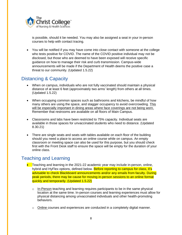

is possible, should it be needed. You may also be assigned a seat in your in-person courses to help with contact tracing.

• You will be notified if you may have come into close contact with someone at the college who tests positive for COVID. The name of the COVID positive individual may not be disclosed, but those who are deemed to have been exposed will receive specific guidance on how to manage their risk and curb transmission. Campus-wide announcements will be made if the Department of Health deems the positive case a threat to our community. (Updated 1.5.22)

## <span id="page-7-0"></span>Distancing & Capacity

- When on campus, individuals who are not fully vaccinated should maintain a physical distance of at least 6 feet (approximately two arms' length) from others at all times. (Updated 1.5.22)
- When occupying common spaces such as bathrooms and kitchens, be mindful of how many others are using the space, and stagger occupancy to avoid overcrowding. This will be especially important in dining areas where face coverings are not being worn. Remember that restrooms are available on all floors of Main Campus.
- Classrooms and labs have been restricted to 75% capacity. Individual seats are available in those spaces for unvaccinated students who need to distance. (Updated 8.30.21)
- There are single seats and seats with tables available on each floor of the building should you need a place to access an online course while on campus. An empty classroom or meeting space can also be used for this purpose, but you should check first with the Front Desk staff to ensure the space will be empty for the duration of your online class.

# <span id="page-7-1"></span>Teaching and Learning

- Teaching and learning in the 2021-22 academic year may include in-person, online, hybrid and HyFlex options, defined below. Before reporting to campus for class, it's advisable to check Blackboard announcements and/or any emails from faculty. During peak periods, there may be cause for moving in-person sessions to an online format quickly and temporarily. (Updated 1.5.22)
	- $\circ$  In-Person teaching and learning requires participants to be in the same physical location at the same time. In-person courses and learning experiences must allow for physical distancing among unvaccinated individuals and other health-promoting behaviors.
	- o Online courses and experiences are conducted in a completely digital manner.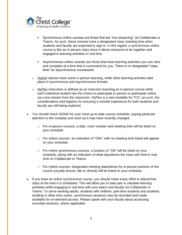

- Synchronous online courses are those that are "live streaming" via Collaborate or Teams. As such, these courses have a designated class meeting time when students and faculty are expected to sign in. In this regard, a synchronous online course is like an in-person class since it allows everyone to be together and engaged in learning activities in real time.
- **EXE** Asynchronous online courses are those that have learning activities you can view and complete at a time that is convenient for you. There is no designated "class time" for asynchronous coursework.
- $\circ$  Hybrid classes have some in-person learning, while other learning activities take place in synchronous and asynchronous formats.
- $\circ$  HyFlex instruction is defined as an instructor teaching an in-person course while each individual student has the choice to participate in person or participate online via a live stream from the classroom. HyFlex is a new modality for TCC; as such, the considerations and logistics for ensuring a smooth experience for both students and faculty are still being explored.
- You should check SONIS for your most up-to-date course schedule, paying particular attention to the modality and room as it may have recently changed.
	- $\circ$  For in-person courses: a date, room number and meeting time will be listed on your schedule.
	- o For online courses: an indication of "ONL" with no meeting time listed will appear on your schedule.
	- o For online synchronous courses: a location of "OS" will be listed on your schedule, along with an indication of what days/times the class will meet in real time on Collaborate or Teams.
	- $\circ$  For hybrid courses: designated meeting dates/times for in-person portions of the course (usually lecture, lab or clinical) will be listed on your schedule.
- If you have an online synchronous course, you should make every effort to attend that class at the time it is scheduled. This will allow you to take part in valuable learning activities while engaging in real time with your peers and faculty via Collaborate or Teams. To serve working adults, students with children, part-time students and students residing in other time zones, synchronous sessions may be recorded and made available for on-demand access. Please speak with your faculty about accessing recorded sessions, where applicable.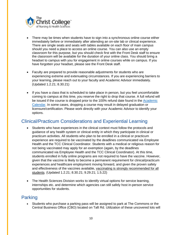

- There may be times when students have to sign into a synchronous online course either immediately before or immediately after attending an on-site lab or clinical experience. There are single seats and seats with tables available on each floor of main campus should you need a place to access an online course. You can also use an empty classroom for this purpose, but you should check first with the Front Desk staff to ensure the classroom will be available for the duration of your online class. You should bring a headset to campus with you for engagement in online courses while on campus. If you have forgotten your headset, please see the Front Desk staff.
- Faculty are prepared to provide reasonable adjustments for students who are experiencing extreme and extenuating circumstances. If you are experiencing barriers to your learning, please reach out to your faculty and Academic Advisor immediately. (Updated 1.2.21; 8.30.21)
- If you have a class that is scheduled to take place in person, but you feel uncomfortable coming to campus at this time, you reserve the right to drop that course. A full refund will be issued if the course is dropped prior to the 100% refund date found in the [Academic](https://www.thechristcollege.edu/img/forestry/excel-2021-2022-calendar_updated-11-17-21.pdf)  [Calendar.](https://www.thechristcollege.edu/img/forestry/excel-2021-2022-calendar_updated-11-17-21.pdf) In some cases, dropping a course may result in delayed graduation or licensure/certification. Please work directly with your Academic Advisor to identify your options.

# <span id="page-9-0"></span>Clinical/Practicum Considerations and Experiential Learning

- Students who have experiences in the clinical context must follow the protocols and guidance of any health system or clinical entity in which they participate in clinical or practicum activities. All students who plan to be enrolled in a clinical or practicum experience are required to be vaccinated by the deadlines communicated via Employee Health and the TCC Clinical Coordinator. Students with a medical or religious reason for not being vaccinated may apply for an exemption (again, by the deadlines communicated via Employee Health and the TCC Clinical Coordinator). At this time, students enrolled in fully online programs are not required to have the vaccine. However, given that the vaccine is likely to become a permanent requirement for clinical/practicum experiences *and* healthcare employment moving forward, and given the proven safety and effectiveness of the vaccines available, vaccinating is strongly recommended for all students. (Updated 1.2.21; 8.30.21; 9.29.21; 1.5.22)
- The Health Sciences Division works to identify virtual options for service learning, internships etc. and determine which agencies can still safely host in-person service opportunities for students.

# <span id="page-9-1"></span>Parking

• Students who purchase a parking pass will be assigned to park at The Commons or the Central Business Office (CBO) located on Taft Rd. Utilization of these uncovered lots will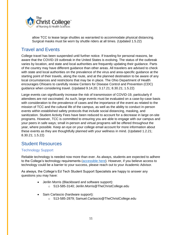

allow TCC to lease large shuttles as warranted to accommodate physical distancing. Surgical masks must be worn by shuttle riders at all times. (Updated 1.5.22)

## <span id="page-10-0"></span>Travel and Events

College travel has been suspended until further notice. If traveling for personal reasons, be aware that the COVID-19 outbreak in the United States is evolving. The status of the outbreak varies by location, and state and local authorities are frequently updating their guidance. Parts of the country may have different guidance than other areas. All travelers are advised to check with state and local authorities on the prevalence of the virus and area-specific guidance at the starting point of their travels, along the route, and at the planned destination to be aware of any local circumstances and restrictions that may be in place. The Ohio Department of Health encourages Ohioans to carefully review Centers for Disease Control and Prevention (CDC) guidance when considering travel. (Updated 9.14.20; 3.17.21; 8.30.21; 1.5.22)

Large events can significantly increase the risk of transmission of COVID-19, particularly if attendees are not vaccinated. As such, large events must be evaluated on a case-by-case basis with consideration to the prevalence of cases and the importance of the event as related to the mission of TCC and the cultural life of the campus, as well as the ability to conduct in-person events within established safety protocols that include social distancing, masking, and sanitization. Student Activity Fees have been reduced to account for a decrease in large on-site programs. However, TCC is committed to ensuring you are able to engage with our campus and your peers in safe ways; small in-person and virtual programs will be offered throughout the year, where possible. Keep an eye on your college email account for more information about these events as they are thoughtfully planned with your wellness in mind. (Updated 1.2.21; 8.30.21; 1.5.22)

## <span id="page-10-1"></span>Student Resources

## Technology Support

Reliable technology is needed now more than ever. As always, students are expected to adhere to the College's technology requirements [\(accessible here\)](https://www.thechristcollege.edu/img/forestry/technology-requirements-07_2021.pdf). However, if you believe access to technology could be a barrier to your success, please reach out to your Academic Advisor.

As always, the College's Ed Tech Student Support Specialists are happy to answer any questions you may have:

- Jerilin Morris (Blackboard and software support):
	- o 513-585-3140; Jerilin.Morris@TheChristCollege.edu
- Sam Carlascio (hardware support):
	- o 513-585-2879; Samuel.Carlascio@TheChristCollege.edu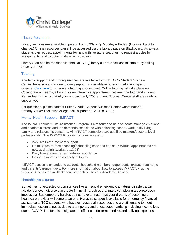

## Library Resources

Library services are available in person from 8:30a – 5p Monday – Friday. (Hours subject to change.) Online resources can still be accessed via the Library page on Blackboard. As always, students can request appointments for help with literature searches, to request articles for assignments, and to obtain database instruction.

Library Staff can be reached via email at TCH\_Library@TheChristHospital.com or by calling (513) 585-2737.

## **Tutoring**

Academic support and tutoring services are available through TCC's Student Success Center. In-person and online tutoring support is available in nursing, math, writing and science. [Click here](https://outlook.office365.com/owa/calendar/TheLearningCenter@thechristhospital.onmicrosoft.com/bookings/) to schedule a tutoring appointment. Online tutoring will take place via Collaborate or Teams, allowing for an interactive appointment between the tutor and student. Regardless of the format of your appointment, TCC Student Success Center staff are ready to support you!

For questions, please contact Brittany York, Student Success Center Coordinator at Brittany.York@TheChristCollege.edu. (Updated 1.2.21; 8.30.21)

## Mental Health Support - IMPACT

The IMPACT Student Life Assistance Program is a resource to help students manage emotional and academic stress and the demands associated with balancing school, work, daily living, family and relationship concerns. All IMPACT counselors are qualified masters/doctoral level professionals. The IMPACT Program includes access to:

- 24/7 live in-the-moment support
- Up to 3 face-to-face coaching/counseling sessions per issue (Virtual appointments are now available!) (Updated 1.2.21)
- Daily living resources and referral assistance
- Online resources on a variety of topics

IMPACT access is extended to students' household members, dependents in/away from home and parents/parent-in-laws. For more information about how to access IMPACT, visit the Student Success tab in Blackboard or reach out to your Academic Advisor.

#### Hardship Assistance

Sometimes, unexpected circumstances like a medical emergency, a natural disaster, a car accident or even divorce can create financial hardships that make completing a degree seem impossible. But temporary hurdles do not have to mean that your dreams of becoming a healthcare provider will come to an end. Hardship support is available for emergency financial assistance to TCC students who have exhausted all resources and are still unable to meet immediate, essential needs due to a temporary and unexpected hardship including income loss due to COVID. The fund is designated to offset a short-term need related to living expenses.